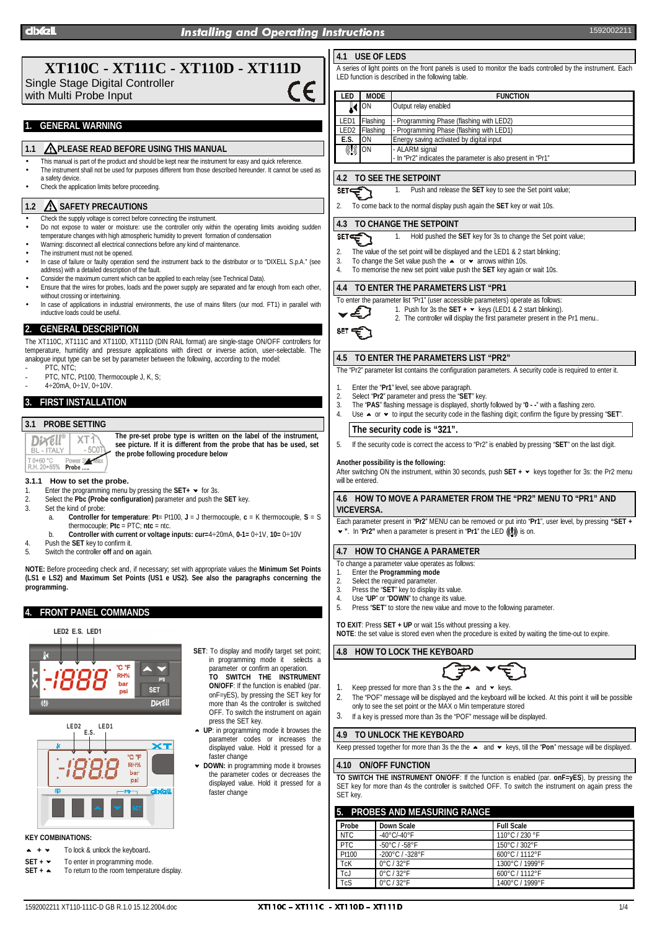# **XT110C - XT111C - XT110D - XT111D**

Single Stage Digital Controller with Multi Probe Input

## **1. GENERAL WARNING**

## **1.1 PLEASE READ BEFORE USING THIS MANUAL**

- This manual is part of the product and should be kept near the instrument for easy and quick reference. • The instrument shall not be used for purposes different from those described hereunder. It cannot be used as
- a safety device. • Check the application limits before proceeding.

### **1.2 SAFETY PRECAUTIONS**

- Check the supply voltage is correct before connecting the instrument.
- Do not expose to water or moisture: use the controller only within the operating limits avoiding sudden temperature changes with high atmospheric humidity to prevent formation of condensation
- Warning: disconnect all electrical connections before any kind of maintenance
- The instrument must not be opened.
- In case of failure or faulty operation send the instrument back to the distributor or to "DIXELL S.p.A." (see address) with a detailed description of the fault.
- Consider the maximum current which can be applied to each relay (see Technical Data).
- Ensure that the wires for probes, loads and the power supply are separated and far enough from each other,
- without crossing or intertwining. In case of applications in industrial environments, the use of mains filters (our mod. FT1) in parallel with inductive loads could be useful.

### **2. GENERAL DESCRIPTION**

The XT110C, XT111C and XT110D, XT111D (DIN RAIL format) are single-stage ON/OFF controllers for temperature, humidity and pressure applications with direct or inverse action, user-selectable. The analogue input type can be set by parameter between the following, according to the model:

- PTC, NTC PTC, NTC, Pt100, Thermocouple J, K, S
- $4 \div 20$ mA,  $0 \div 1$ V,  $0 \div 10$ V

## **3. FIRST INSTALLATION**

# **3.1 PROBE SETTING**

**The pre-set probe type is written on the label of the instrument,** Dixell XT1 **see picture. If it is different from the probe that has be used, set BL - ITALY**  $-5C$ **the probe following procedure below** T 0+60 °C Power 3V Max<br>R.H. 20+85% Probe .....

- **3.1.1 How to set the probe.**
- 1. Enter the programming menu by pressing the  $SET + \times$  for 3s.
- 2. Select the **Pbc (Probe configuration)** parameter and push the **SET** key.
- Set the kind of probe:
	- a. **Controller for temperature**: **Pt**= Pt100, **J** = J thermocouple, **c** = K thermocouple, **S** = S thermocouple; **Ptc** = PTC; **ntc** = ntc.
		- b. **Controller with current or voltage inputs: cur=**4÷20mA, **0-1=** 0÷1V, **10=** 0÷10V
- 4. Push the **SET** key to confirm it.
- 5. Switch the controller **off** and **on** again.

**NOTE:** Before proceeding check and, if necessary; set with appropriate values the **Minimum Set Points (LS1 e LS2) and Maximum Set Points (US1 e US2). See also the paragraphs concerning the programming.**

## **4. FRONT PANEL COMMANDS**

### LED2 E.S. LED1





### **KEY COMBINATIONS:**

- $+ -$ **<sup>+</sup>**<sup>8</sup> To lock & unlock the keyboard**.**
- **SET +**  $\sim$  To enter in programming mode.
- **SET +**  $\sim$  To return to the room temperature display.
- **SET**: To display and modify target set point; in programming mode it selects a parameter or confirm an operation.
	- **TO SWITCH THE INSTRUMENT ON/OFF**: If the function is enabled (par. onF=yES), by pressing the SET key for more than 4s the controller is switched OFF. To switch the instrument on again press the SET key.
- Press the SET key.<br>► UP: in programming mode it browses the parameter codes or increases the displayed value. Hold it pressed for a faster change
- 8 **DOWN:** in programming mode it browses the parameter codes or decreases the displayed value. Hold it pressed for a faster change

## **4.1 USE OF LEDS**

A series of light points on the front panels is used to monitor the loads controlled by the instrument. Each LED function is described in the following table.

| LED               | <b>MODE</b> | <b>FUNCTION</b>                                             |  |
|-------------------|-------------|-------------------------------------------------------------|--|
|                   | $\sim$ ON   | Output relay enabled                                        |  |
| LED1              | Flashing    | - Programming Phase (flashing with LED2)                    |  |
| LED <sub>2</sub>  | Flashing    | - Programming Phase (flashing with LED1)                    |  |
| E.S.              | ON          | Energy saving activated by digital input                    |  |
| $\binom{1}{2}$ ON |             | - ALARM signal                                              |  |
|                   |             | - In "Pr2" indicates the parameter is also present in "Pr1" |  |

### **4.2 TO SEE THE SETPOINT**

1. Push and release the **SET** key to see the Set point value;  $\overline{\text{SET}}$ 

2. To come back to the normal display push again the **SET** key or wait 10s.

### **4.3 TO CHANGE THE SETPOINT**

- 1. Hold pushed the **SET** key for 3s to change the Set point value; י
- É. 2. The value of the set point will be displayed and the LED1 & 2 start blinking:
- 
- 3. To change the Set value push the  $\overrightarrow{ }$  or  $\overrightarrow{ }$  arrows within 10s.<br>4. To memorise the new set point value push the SET key again of 4. To memorise the new set point value push the **SET** key again or wait 10s.

#### **4.4 TO ENTER THE PARAMETERS LIST "PR1**

- To enter the parameter list "Pr1" (user accessible parameters) operate as follows:
- 

**SET** 

1. Push for 3s the **SET +**   $\bullet$  keys (LED1 & 2 start blinking). 2. The controller will display the first parameter present in the Pr1 menu..



## **4.5 TO ENTER THE PARAMETERS LIST "PR2"**

The "Pr2" parameter list contains the configuration parameters. A security code is required to enter it.

- 1. Enter the "**Pr1**" level, see above paragraph.<br>2. Select "**Pr2**" parameter and press the "SFT
- 2. Select "**Pr2**" parameter and press the "**SET**" key.
- 3. The "**PAS**" flashing message is displayed, shortly followed by "**0 -**" with a flashing zero.
- Use  $\blacktriangle$  or  $\blacktriangleright$  to input the security code in the flashing digit; confirm the figure by pressing "SET".

## **The security code is "321".**

5. If the security code is correct the access to "Pr2" is enabled by pressing "**SET**" on the last digit.

#### **Another possibility is the following:**

After switching ON the instrument, within 30 seconds, push SET +  $\star$  keys together for 3s: the Pr2 menu will be entered

#### **4.6 HOW TO MOVE A PARAMETER FROM THE "PR2" MENU TO "PR1" AND VICEVERSA.**

Each parameter present in "**Pr2**" MENU can be removed or put into "**Pr1**", user level, by pressing **"SET +** ► ". In "Pr2" when a parameter is present in "Pr1" the LED ((1)) is on.

### **4.7 HOW TO CHANGE A PARAMETER**

To change a parameter value operates as follows:

- 1. Enter the **Programming mode**
- 2. Select the required parameter.
- 3. Press the "**SET**" key to display its value.
- 4. Use "**UP**" or "**DOWN**" to change its value.<br>5. Press "SET" to store the new value and r 5. Press "**SET**" to store the new value and move to the following parameter.

**TO EXIT**: Press **SET + UP** or wait 15s without pressing a key. **NOTE**: the set value is stored even when the procedure is exited by waiting the time-out to expire.

### **4.8 HOW TO LOCK THE KEYBOARD**



- Keep pressed for more than 3 s the the  $\sim$  and  $\sim$  keys.
- 2. The "POF" message will be displayed and the keyboard will be locked. At this point it will be possible only to see the set point or the MAX o Min temperature stored
- 3. If a key is pressed more than 3s the "POF" message will be displayed.

### **4.9 TO UNLOCK THE KEYBOARD**

Keep pressed together for more than 3s the the  $\sim$  and  $\sim$  keys, till the "**Pon**" message will be displayed.

### **4.10 ON/OFF FUNCTION**

**TO SWITCH THE INSTRUMENT ON/OFF**: If the function is enabled (par. **onF=yES**), by pressing the SET key for more than 4s the controller is switched OFF. To switch the instrument on again press the SET key.

### **5. PROBES AND MEASURING RANGE**

| LIVED AND MEAGOINTS IVINGE |                                     |                   |  |  |  |
|----------------------------|-------------------------------------|-------------------|--|--|--|
| Probe                      | Down Scale                          | <b>Full Scale</b> |  |  |  |
| <b>NTC</b>                 | -40 $^{\circ}$ C/-40 $^{\circ}$ F   | 110°C / 230 °F    |  |  |  |
| <b>PTC</b>                 | $-50^{\circ}$ C / $-58^{\circ}$ F   | 150°C/302°F       |  |  |  |
| Pt100                      | $-200^{\circ}$ C / $-328^{\circ}$ F | 600°C/1112°F      |  |  |  |
| TcK                        | $0^\circ$ C / 32 $^\circ$ F         | 1300°C / 1999°F   |  |  |  |
| TcJ                        | $0^\circ$ C / 32 $^\circ$ F         | 600°C / 1112°F    |  |  |  |
| $\overline{\text{TCS}}$    | $0^\circ$ C / 32 $^\circ$ F         | 1400°C / 1999°F   |  |  |  |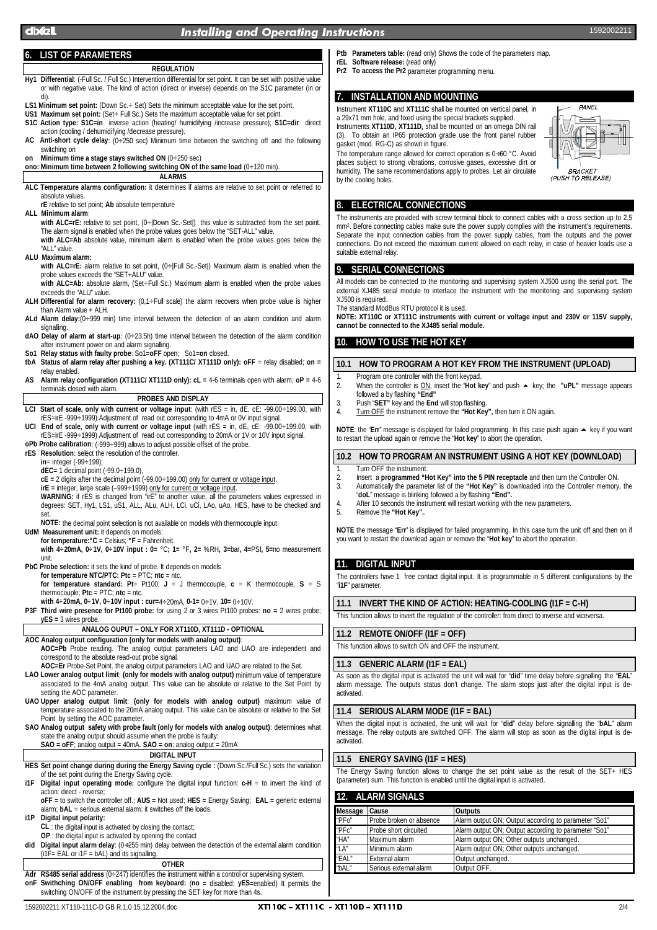## dixell the contract of the contract of the contract of the contract of the contract of the contract of the contract of the contract of the contract of the contract of the contract of the contract of the contract of the con

### **6. LIST OF PARAMETERS**

### **REGULATION**

- **Hy1 Differential**: (-Full Sc. / Full Sc.) Intervention differential for set point. It can be set with positive value or with negative value. The kind of action (direct or inverse) depends on the S1C parameter (in or di).
- **LS1 Minimum set point:** (Down Sc.÷ Set) Sets the minimum acceptable value for the set point.
- US1 Maximum set point: (Set÷ Full Sc.) Sets the maximum acceptable value for set point **S1C Action type: S1C=in** inverse action (heating/ humidifying /increase pressure); **S1C=dir** direct action (cooling / dehumidifying /decrease pressure).
- **AC Anti-short cycle delay**: (0÷250 sec) Minimum time between the switching off and the following switching on
- **on Minimum time a stage stays switched ON** (0÷250 sec)

**ono: Minimum time between 2 following switching ON of the same load** (0÷120 min).

**ALARMS ALC Temperature alarms configuration:** it determines if alarms are relative to set point or referred to absolute values.

**rE** relative to set point; **Ab** absolute temperature

**ALL Minimum alarm**:

with ALC=rE: relative to set point, (0÷|Down Sc.-Set|) this value is subtracted from the set point. The alarm signal is enabled when the probe values goes below the "SET-ALL" value. **with ALC=Ab** absolute value, minimum alarm is enabled when the probe values goes below the

"ALL" value. **ALU Maximum alarm:**

with ALC=rE: alarm relative to set point, (0÷|Full Sc.-Set|) Maximum alarm is enabled when the

probe values exceeds the "SET+ALU" value. **with ALC=Ab:** absolute alarm, (Set÷Full Sc.) Maximum alarm is enabled when the probe values

- exceeds the "ALU" value. **ALH Differential for alarm recovery:** (0,1÷Full scale) the alarm recovers when probe value is higher
- than Alarm value + ALH. **ALd Alarm delay:**(0÷999 min) time interval between the detection of an alarm condition and alarm signalling.
- **dAO Delay of alarm at start-up**: (0÷23.5h) time interval between the detection of the alarm condition after instrument power on and alarm signalling.
- **So1 Relay status with faulty probe**: So1=**oFF** open; So1=**on** closed.
- tbA Status of alarm relay after pushing a key. (XT111C/ XT111D only): oFF = relay disabled; on = relay enabled.
- **AS Alarm relay configuration (XT111C/ XT111D only): cL =** 4-6 terminals open with alarm; **oP =** 4-6 terminals closed with alarm.

#### **PROBES AND DISPLAY**

**LCI Start of scale, only with current or voltage input**: (with rES = in, dE, cE: -99.00÷199.00, with rES=irE -999÷1999) Adjustment of read out corresponding to 4mA or 0V input signal.

**UCI End of scale, only with current or voltage input** (with rES = in, dE, cE: -99.00÷199.00, with rES=irE -999÷1999) Adjustment of read out corresponding to 20mA or 1V or 10V input signal. **oPb Probe calibration**: (-999÷999) allows to adjust possible offset of the probe.

**rES Resolution**: select the resolution of the controller.

**in**= integer (-99÷199);

**dEC**= 1 decimal point (-99.0÷199.0),

**cE =** 2 digits after the decimal point (-99.00÷199.00) only for current or voltage input,

**irE =** integer, large scale (–999÷1999) only for current or voltage input. **WARNING:** if rES is changed from "irE" to another value, all the parameters values expressed in degrees: SET, Hy1, LS1, uS1, ALL, ALu, ALH, LCi, uCi, LAo, uAo, HES, have to be checked and set.

**NOTE:** the decimal point selection is not available on models with thermocouple input.

**UdM Measurement unit:** it depends on models: **for temperature:°C** = Celsius; **°F** = Fahrenheit.

**with 4÷20mA, 0÷1V, 0÷10V input : 0=** °C**; 1=** °F**, 2=** %RH**, 3=**bar**, 4=**PSI**, 5=**no measurement unit.

**PbC Probe selection:** it sets the kind of probe. It depends on models

**for temperature NTC/PTC: Ptc** = PTC; **ntc** = ntc. **for temperature standard: Pt**= Pt100, **J** = J thermocouple, **c** = K thermocouple, **S** = S thermocouple; **Ptc** = PTC; **ntc** = ntc.

**with 4÷20mA, 0÷1V, 0÷10V input : cur=**4÷20mA, **0-1=** 0÷1V, **10=** 0÷10V.

**P3F Third wire presence for Pt100 probe:** for using 2 or 3 wires Pt100 probes: **no =** 2 wires probe; **yES =** 3 wires probe.

## **ANALOG OUPUT – ONLY FOR XT110D, XT111D - OPTIONAL**

**AOC Analog output configuration (only for models with analog output)**: **AOC=Pb** Probe reading. The analog output parameters LAO and UAO are independent and correspond to the absolute read-out probe signal.

**AOC=Er** Probe-Set Point. the analog output parameters LAO and UAO are related to the Set.

**LAO Lower analog output limit**: **(only for models with analog output)** minimum value of temperature associated to the 4mA analog output. This value can be absolute or relative to the Set Point by setting the AOC parameter.

**UAO Upper analog output limit**: **(only for models with analog output)** maximum value of temperature associated to the 20mA analog output. This value can be absolute or relative to the Set Point by setting the AOC parameter.

**SAO Analog output safety with probe fault (only for models with analog output)**: determines what state the analog output should assume when the probe is faulty:

**SAO = oFF**; analog output = 40mA. **SAO = on**; analog output = 20mA

## **DIGITAL INPUT**

**HES Set point change during during the Energy Saving cycle :** (Down Sc./Full Sc.) sets the variation of the set point during the Energy Saving cycle.

**i1F Digital input operating mode:** configure the digital input function: **c-H** = to invert the kind of action: direct - reverse;

**oFF** = to switch the controller off.; **AUS** = Not used; **HES** = Energy Saving; **EAL** = generic external alarm; **bAL** = serious external alarm: it switches off the loads.

**i1P Digital input polarity:**

**CL** : the digital input is activated by closing the contact;

**OP** : the digital input is activated by opening the contact

**did Digital input alarm delay**: (0÷255 min) delay between the detection of the external alarm condition  $(i1F = EAL or i1F = bAL)$  and its signalling. **OTHER**

**Adr RS485 serial address (0÷247) identifies the instrument within a control or supervising system.<br>
<b>ORF Swithching ON/OFF enabling from keyboard: (no** = disabled: v**ES**=enabled) It permi **Swithching ON/OFF enabling from keyboard: (no** = disabled; yES=enabled) It permits the switching ON/OFF of the instrument by pressing the SET key for more than 4s.

- **Ptb Parameters table:** (read only) Shows the code of the parameters map.
- **rEL Software release:** (read only) **Pr2** To access the Pr2 parameter programming menu.

### **7. INSTALLATION AND MOUNTING**

Instrument **XT110C** and **XT111C** shall be mounted on vertical panel, in a 29x71 mm hole, and fixed using the special brackets supplied. Instruments **XT110D, XT111D,** shall be mounted on an omega DIN rail (3). To obtain an IP65 protection grade use the front panel rubber gasket (mod. RG-C) as shown in figure.

The temperature range allowed for correct operation is 0÷60 °C. Avoid places subject to strong vibrations, corrosive gases, excessive dirt or humidity. The same recommendations apply to probes. Let air circulate by the cooling holes.



The instruments are provided with screw terminal block to connect cables with a cross section up to 2,5 mm<sup>2</sup>. Before connecting cables make sure the power supply complies with the instrument's requirements. Separate the input connection cables from the power supply cables, from the outputs and the power connections. Do not exceed the maximum current allowed on each relay, in case of heavier loads use a suitable external relay.

#### **9. SERIAL CONNECTIONS**

All models can be connected to the monitoring and supervising system XJ500 using the serial port. The external XJ485 serial module to interface the instrument with the monitoring and supervising system XJ500 is required. The standard ModBus RTU protocol it is used.

**NOTE: XT110C or XT111C instruments with current or voltage input and 230V or 115V supply, cannot be connected to the XJ485 serial module.**

### **10. HOW TO USE THE HOT KEY**

## **10.1 HOW TO PROGRAM A HOT KEY FROM THE INSTRUMENT (UPLOAD)**

- 1. Program one controller with the front keypad.
- 2. When the controller is ON, insert the "Hot key" and push  $\sim$  key; the "uPL" message appears followed a by flashing **"End"**
- 3. Push "**SET"** key and the **End** will stop flashing.
- 4. Turn OFF the instrument remove the **"Hot Key",** then turn it ON again.

NOTE: the "Err" message is displayed for failed programming. In this case push again  $\blacktriangle$  key if you want to restart the upload again or remove the "**Hot key**" to abort the operation.

### **10.2 HOW TO PROGRAM AN INSTRUMENT USING A HOT KEY (DOWNLOAD)**

- 1. Turn OFF the instrument.<br>2. Insert a **programmed** "
- 2. Insert a **programmed "Hot Key" into the 5 PIN receptacle** and then turn the Controller ON.<br>3. Automatically the parameter list of the "Hot Key" is downloaded into the Controller memory
- Automatically the parameter list of the "Hot Key" is downloaded into the Controller memory, the "**doL**" message is blinking followed a by flashing **"End".**
- 4. After 10 seconds the instrument will restart working with the new parameters.
- 5. Remove the **"Hot Key".**.

**NOTE** the message "**Err**" is displayed for failed programming. In this case turn the unit off and then on if you want to restart the download again or remove the "**Hot key**" to abort the operation.

### **11. DIGITAL INPUT**

The controllers have 1 free contact digital input. It is programmable in 5 different configurations by the "**i1F**" parameter.

**11.1 INVERT THE KIND OF ACTION: HEATING-COOLING (I1F = C-H)**

This function allows to invert the regulation of the controller: from direct to inverse and viceversa.

### **11.2 REMOTE ON/OFF (I1F = OFF)**

This function allows to switch ON and OFF the instrument.

### **11.3 GENERIC ALARM (I1F = EAL)**

As soon as the digital input is activated the unit will wait for "**did**" time delay before signalling the "**EAL**" alarm message. The outputs status don't change. The alarm stops just after the digital input is deactivated.

## **11.4 SERIOUS ALARM MODE (I1F = BAL)**

When the digital input is activated, the unit will wait for "**did**" delay before signalling the "**bAL**" alarm message. The relay outputs are switched OFF. The alarm will stop as soon as the digital input is deactivated.

#### **11.5 ENERGY SAVING (I1F = HES)**

The Energy Saving function allows to change the set point value as the result of the SET+ HES (parameter) sum. This function is enabled until the digital input is activated.

## **12. ALARM SIGNALS**

| Message | Cause                                                                         | <b>Outputs</b>                                       |
|---------|-------------------------------------------------------------------------------|------------------------------------------------------|
| "PFo"   | Probe broken or absence                                                       | Alarm output ON; Output according to parameter "So1" |
| "PFc"   | Probe short circuited<br>Alarm output ON; Output according to parameter "So1" |                                                      |
| "HA"    | Maximum alarm                                                                 | Alarm output ON; Other outputs unchanged.            |
| "LA"    | Minimum alarm                                                                 | Alarm output ON; Other outputs unchanged.            |
| "EAL"   | External alarm                                                                | Output unchanged.                                    |
| "bAL"   | Serious external alarm                                                        | Output OFF.                                          |

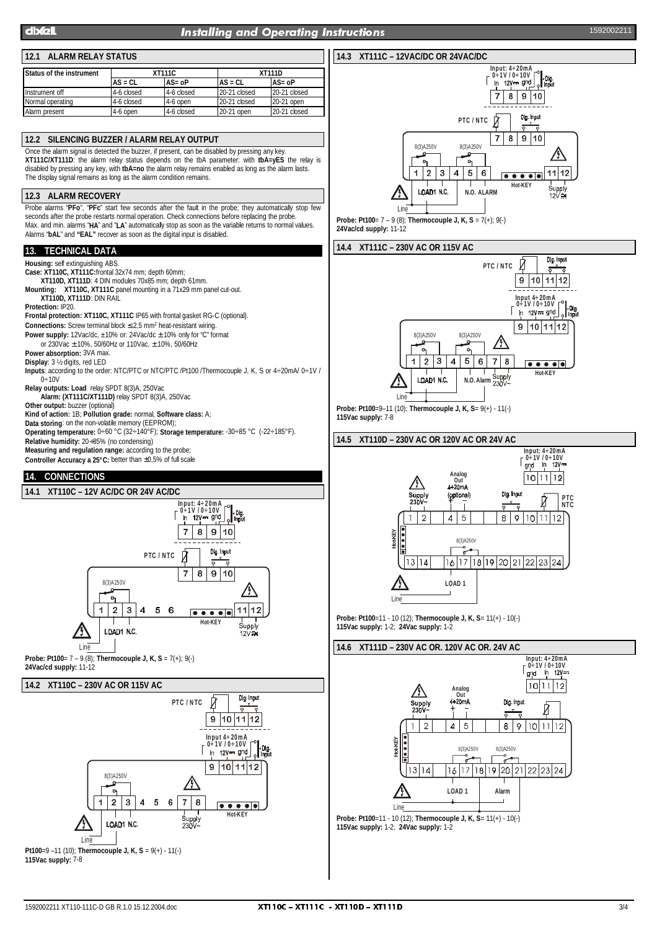## dixell the contract of the contract of the contract of the contract of the contract of the contract of the contract of the contract of the contract of the contract of the contract of the contract of the contract of the con